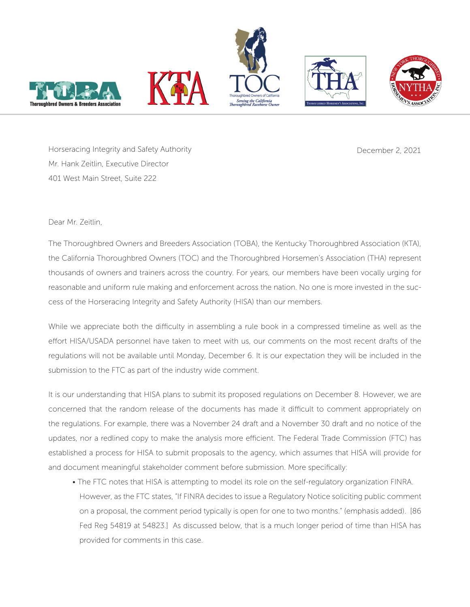







Horseracing Integrity and Safety Authority Mr. Hank Zeitlin, Executive Director 401 West Main Street, Suite 222

December 2, 2021

## Dear Mr. Zeitlin,

The Thoroughbred Owners and Breeders Association (TOBA), the Kentucky Thoroughbred Association (KTA), the California Thoroughbred Owners (TOC) and the Thoroughbred Horsemen's Association (THA) represent thousands of owners and trainers across the country. For years, our members have been vocally urging for reasonable and uniform rule making and enforcement across the nation. No one is more invested in the success of the Horseracing Integrity and Safety Authority (HISA) than our members.

While we appreciate both the difficulty in assembling a rule book in a compressed timeline as well as the effort HISA/USADA personnel have taken to meet with us, our comments on the most recent drafts of the regulations will not be available until Monday, December 6. It is our expectation they will be included in the submission to the FTC as part of the industry wide comment.

It is our understanding that HISA plans to submit its proposed regulations on December 8. However, we are concerned that the random release of the documents has made it difficult to comment appropriately on the regulations. For example, there was a November 24 draft and a November 30 draft and no notice of the updates, nor a redlined copy to make the analysis more efficient. The Federal Trade Commission (FTC) has established a process for HISA to submit proposals to the agency, which assumes that HISA will provide for and document meaningful stakeholder comment before submission. More specifically:

• The FTC notes that HISA is attempting to model its role on the self-regulatory organization FINRA. However, as the FTC states, "If FINRA decides to issue a Regulatory Notice soliciting public comment on a proposal, the comment period typically is open for one to two months." (emphasis added). [86 Fed Reg 54819 at 54823.] As discussed below, that is a much longer period of time than HISA has provided for comments in this case.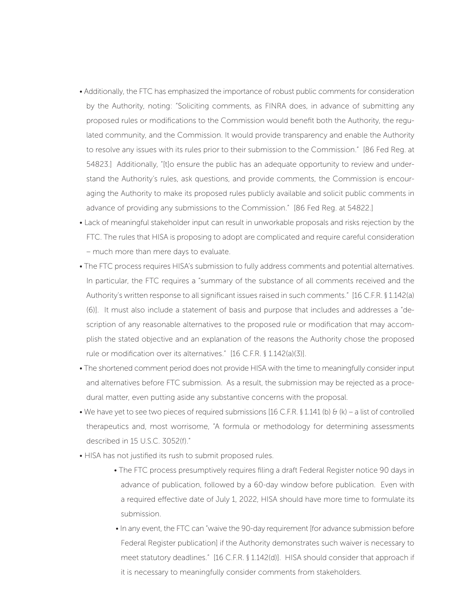- Additionally, the FTC has emphasized the importance of robust public comments for consideration by the Authority, noting: "Soliciting comments, as FINRA does, in advance of submitting any proposed rules or modifications to the Commission would benefit both the Authority, the regulated community, and the Commission. It would provide transparency and enable the Authority to resolve any issues with its rules prior to their submission to the Commission." [86 Fed Reg. at 54823.] Additionally, "[t]o ensure the public has an adequate opportunity to review and understand the Authority's rules, ask questions, and provide comments, the Commission is encouraging the Authority to make its proposed rules publicly available and solicit public comments in advance of providing any submissions to the Commission." [86 Fed Reg. at 54822.]
- Lack of meaningful stakeholder input can result in unworkable proposals and risks rejection by the FTC. The rules that HISA is proposing to adopt are complicated and require careful consideration – much more than mere days to evaluate.
- The FTC process requires HISA's submission to fully address comments and potential alternatives. In particular, the FTC requires a "summary of the substance of all comments received and the Authority's written response to all significant issues raised in such comments." [16 C.F.R. § 1.142(a) (6)]. It must also include a statement of basis and purpose that includes and addresses a "description of any reasonable alternatives to the proposed rule or modification that may accomplish the stated objective and an explanation of the reasons the Authority chose the proposed rule or modification over its alternatives." [16 C.F.R. § 1.142(a)(3)].
- The shortened comment period does not provide HISA with the time to meaningfully consider input and alternatives before FTC submission. As a result, the submission may be rejected as a procedural matter, even putting aside any substantive concerns with the proposal.
- We have yet to see two pieces of required submissions [16 C.F.R.  $\int$  1.141 (b)  $\partial f$  (k) a list of controlled therapeutics and, most worrisome, "A formula or methodology for determining assessments described in 15 U.S.C. 3052(f)."
- HISA has not justified its rush to submit proposed rules.
	- The FTC process presumptively requires filing a draft Federal Register notice 90 days in advance of publication, followed by a 60-day window before publication. Even with a required effective date of July 1, 2022, HISA should have more time to formulate its submission.
	- In any event, the FTC can "waive the 90-day requirement [for advance submission before Federal Register publication] if the Authority demonstrates such waiver is necessary to meet statutory deadlines." [16 C.F.R. § 1.142(d)]. HISA should consider that approach if it is necessary to meaningfully consider comments from stakeholders.